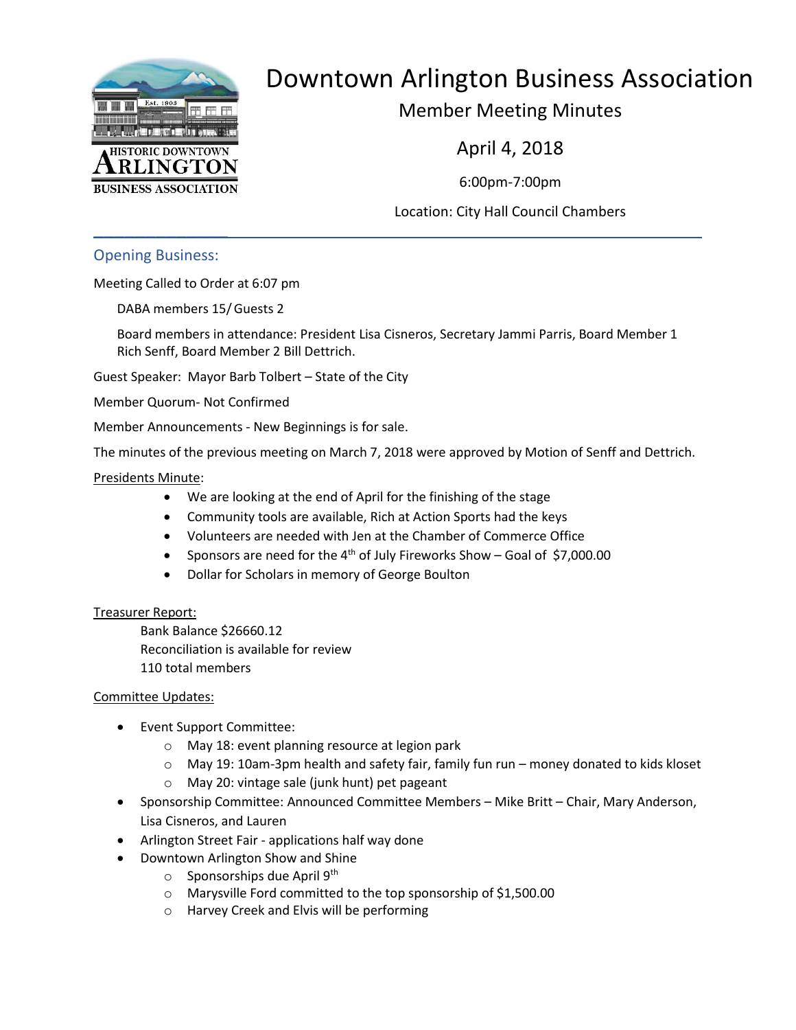

# Downtown Arlington Business Association

Member Meeting Minutes

April 4, 2018

6:00pm-7:00pm

Location: City Hall Council Chambers

Opening Business:

 $\frac{1}{2}$ 

Meeting Called to Order at 6:07 pm

DABA members 15/Guests 2

Board members in attendance: President Lisa Cisneros, Secretary Jammi Parris, Board Member 1 Rich Senff, Board Member 2 Bill Dettrich.

Guest Speaker: Mayor Barb Tolbert – State of the City

Member Quorum- Not Confirmed

Member Announcements - New Beginnings is for sale.

The minutes of the previous meeting on March 7, 2018 were approved by Motion of Senff and Dettrich.

#### Presidents Minute:

- We are looking at the end of April for the finishing of the stage
- Community tools are available, Rich at Action Sports had the keys
- Volunteers are needed with Jen at the Chamber of Commerce Office
- Sponsors are need for the  $4<sup>th</sup>$  of July Fireworks Show Goal of \$7,000.00
- Dollar for Scholars in memory of George Boulton

#### Treasurer Report:

Bank Balance \$26660.12 Reconciliation is available for review 110 total members

#### Committee Updates:

- Event Support Committee:
	- o May 18: event planning resource at legion park
	- o May 19: 10am-3pm health and safety fair, family fun run money donated to kids kloset
	- o May 20: vintage sale (junk hunt) pet pageant
- Sponsorship Committee: Announced Committee Members Mike Britt Chair, Mary Anderson, Lisa Cisneros, and Lauren
- Arlington Street Fair applications half way done
- Downtown Arlington Show and Shine
	- $\circ$  Sponsorships due April 9<sup>th</sup>
	- o Marysville Ford committed to the top sponsorship of \$1,500.00
	- o Harvey Creek and Elvis will be performing